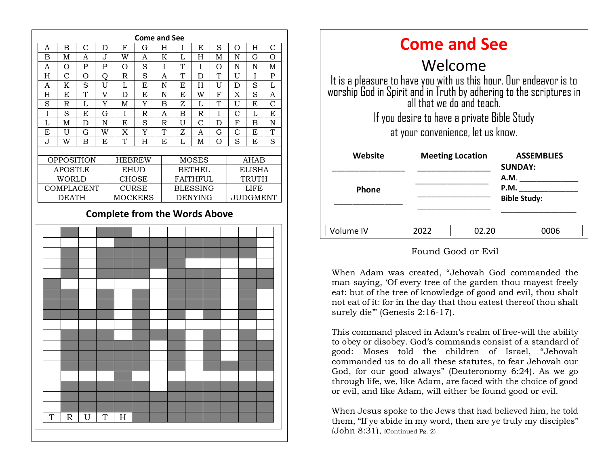

| <b>Come and See</b>                                                                                                                                                    |                         |       |                                     |
|------------------------------------------------------------------------------------------------------------------------------------------------------------------------|-------------------------|-------|-------------------------------------|
| Welcome                                                                                                                                                                |                         |       |                                     |
| It is a pleasure to have you with us this hour. Our endeavor is to<br>worship God in Spirit and in Truth by adhering to the scriptures in<br>all that we do and teach. |                         |       |                                     |
| If you desire to have a private Bible Study                                                                                                                            |                         |       |                                     |
| at your convenience, let us know.                                                                                                                                      |                         |       |                                     |
| Website                                                                                                                                                                | <b>Meeting Location</b> |       | <b>ASSEMBLIES</b><br><b>SUNDAY:</b> |
| <b>Phone</b>                                                                                                                                                           |                         |       | <b>A.M.</b><br>P.M.                 |
|                                                                                                                                                                        |                         |       | <b>Bible Study:</b>                 |
|                                                                                                                                                                        |                         |       |                                     |
| Volume IV                                                                                                                                                              | 2022                    | 02.ZO | 0006                                |

#### Found Good or Evil

was such that the day that thou eatest thereof thou shalt When Adam was created, "Jehovah God commanded the man saying, 'Of every tree of the garden thou mayest freely eat: but of the tree of knowledge of good and evil, thou shalt surely die" (Genesis 2:16-17).

This command placed in Adam's realm of free-will the ability to obey or disobey. God's commands consist of a standard of good: Moses told the children of Israel, "Jehovah commanded us to do all these statutes, to fear Jehovah our God, for our good always" (Deuteronomy 6:24). As we go through life, we, like Adam, are faced with the choice of good or evil, and like Adam, will either be found good or evil.

When Jesus spoke to the Jews that had believed him, he told them, "If ye abide in my word, then are ye truly my disciples"  $(Lohn 8:31)$ ,  $(Continued Pg. 2)$